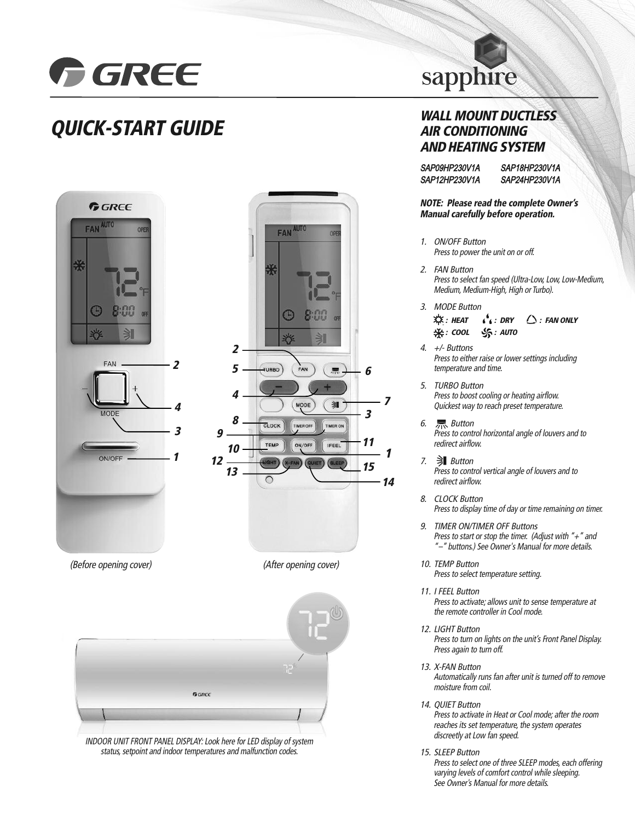

## **QUICK-START GUIDE**



INDOOR UNIT FRONT PANEL DISPLAY: Look here for LED display of system status, setpoint and indoor temperatures and malfunction codes.

# sapphire

### **WALL MOUNT DUCTLESS AIR CONDITIONING AND HEATING SYSTEM**

SAP09HP230V1A SAP12HP230V1A SAP18HP230V1A SAP24HP230V1A

**NOTE: Please read the complete Owner's Manual carefully before operation.**

- 1. ON/OFF Button Press to power the unit on or off.
- 2. FAN Button Press to select fan speed (Ultra-Low, Low, Low-Medium, Medium, Medium-High, High or Turbo).
- 3. MODE Button

**1**

**14**

**7**

```
: HEAT
※: COOL
             \mathbf{r}^{\mathbf{b}} : DRY
             : AUTO
                           : FAN ONLY
```
- 4. +/- Buttons Press to either raise or lower settings including temperature and time.
- 5. TURBO Button Press to boost cooling or heating airflow. Quickest way to reach preset temperature.
- 6. Button Press to control horizontal angle of louvers and to redirect airflow.
- 7. Button Press to control vertical angle of louvers and to redirect airflow.
- 8. CLOCK Button Press to display time of day or time remaining on timer.
- 9. TIMER ON/TIMER OFF Buttons Press to start or stop the timer. (Adjust with  $" +"$  and "–" buttons.) See Owner's Manual for more details.
- 10. TEMP Button Press to select temperature setting.
- 11. I FEEL Button Press to activate; allows unit to sense temperature at the remote controller in Cool mode.
- 12. LIGHT Button Press to turn on lights on the unit's Front Panel Display. Press again to turn off.
- 13. X-FAN Button Automatically runs fan after unit is turned off to remove moisture from coil.
- 14. QUIET Button

Press to activate in Heat or Cool mode; after the room reaches its set temperature, the system operates discreetly at Low fan speed.

15. SLEEP Button

Press to select one of three SLEEP modes, each offering varying levels of comfort control while sleeping. See Owner's Manual for more details.